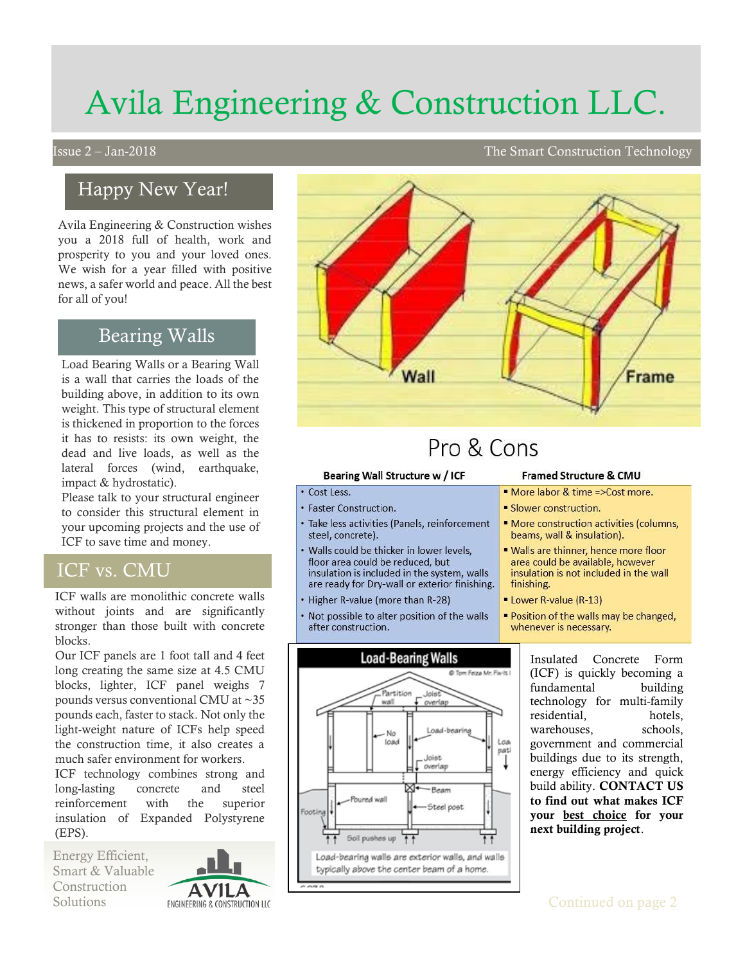# Avila Engineering & Construction LLC.

## Happy New Year!

Avila Engineering & Construction wishes you a 2018 full of health, work and prosperity to you and your loved ones. We wish for a year filled with positive news, a safer world and peace. All the best for all of you!

## Bearing Walls

Load Bearing Walls or a Bearing Wall is a wall that carries the loads of the building above, in addition to its own weight. This type of structural element is thickened in proportion to the forces it has to resists: its own weight, the dead and live loads, as well as the lateral forces (wind, earthquake, impact & hydrostatic).

Please talk to your structural engineer to consider this structural element in your upcoming projects and the use of ICF to save time and money.

### ICF vs. CMU

ICF walls are monolithic concrete walls without joints and are significantly stronger than those built with concrete blocks.

Our ICF panels are 1 foot tall and 4 feet long creating the same size at 4.5 CMU blocks, lighter, ICF panel weighs 7 pounds versus conventional CMU at ~35 pounds each, faster to stack. Not only the light-weight nature of ICFs help speed the construction time, it also creates a much safer environment for workers.

ICF technology combines strong and long-lasting concrete and steel reinforcement with the superior insulation of Expanded Polystyrene (EPS).

Energy Efficient, Smart & Valuable Construction



 $\overline{a}$ 

## Pro & Cons

#### Bearing Wall Structure w / ICF

Wall

#### • Cost Less.

- Faster Construction.
- Take less activities (Panels, reinforcement steel, concrete).
- Walls could be thicker in lower levels, floor area could be reduced, but insulation is included in the system, walls are ready for Dry-wall or exterior finishing.
- Higher R-value (more than R-28)
- Not possible to alter position of the walls after construction.



#### **Framed Structure & CMU**

- " More labor & time => Cost more.
- Slower construction.
- " More construction activities (columns, beams, wall & insulation).

Frame

- " Walls are thinner, hence more floor area could be available, however insulation is not included in the wall finishing.
- " Lower R-value (R-13)
- " Position of the walls may be changed, whenever is necessary.

Insulated Concrete Form (ICF) is quickly becoming a fundamental building technology for multi-family residential, hotels, warehouses, schools, government and commercial buildings due to its strength, energy efficiency and quick build ability. CONTACT US to find out what makes ICF your best choice for your next building project.

### Issue 2 – Jan-2018 The Smart Construction Technology